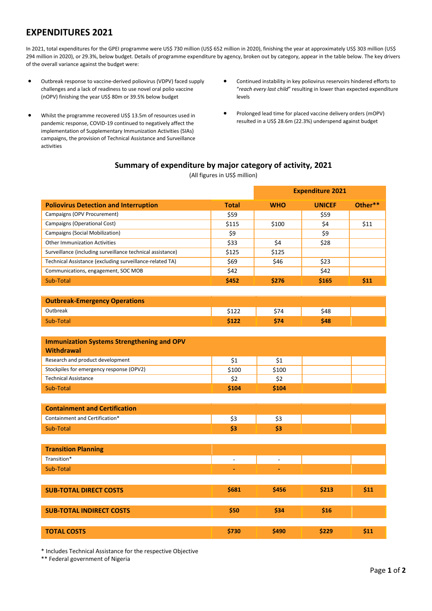## **EXPENDITURES 2021**

In 2021, total expenditures for the GPEI programme were US\$ 730 million (US\$ 652 million in 2020), finishing the year at approximately US\$ 303 million (US\$ 294 million in 2020), or 29.3%, below budget. Details of programme expenditure by agency, broken out by category, appear in the table below. The key drivers of the overall variance against the budget were:

- Outbreak response to vaccine-derived poliovirus (VDPV) faced supply challenges and a lack of readiness to use novel oral polio vaccine (nOPV) finishing the year US\$ 80m or 39.5% below budget
- Whilst the programme recovered US\$ 13.5m of resources used in pandemic response, COVID-19 continued to negatively affect the implementation of Supplementary Immunization Activities (SIAs) campaigns, the provision of Technical Assistance and Surveillance activities
- Continued instability in key poliovirus reservoirs hindered efforts to "*reach every last child*" resulting in lower than expected expenditure levels

**Expenditure 2021**

• Prolonged lead time for placed vaccine delivery orders (mOPV) resulted in a US\$ 28.6m (22.3%) underspend against budget

## **Summary of expenditure by major category of activity, 2021**

(All figures in US\$ million)

| <b>Poliovirus Detection and Interruption</b>               | <b>Total</b> | <b>WHO</b> | <b>UNICEF</b> | Other** |
|------------------------------------------------------------|--------------|------------|---------------|---------|
| Campaigns (OPV Procurement)                                | \$59         |            | \$59          |         |
| Campaigns (Operational Cost)                               | \$115        | \$100      | \$4           | \$11    |
| Campaigns (Social Mobilization)                            | \$9          |            | \$9           |         |
| <b>Other Immunization Activities</b>                       | \$33         | \$4        | \$28          |         |
| Surveillance (including surveillance technical assistance) | \$125        | \$125      |               |         |
| Technical Assistance (excluding surveillance-related TA)   | \$69         | \$46       | \$23          |         |
| Communications, engagement, SOC MOB                        | \$42         |            | \$42          |         |
| Sub-Total                                                  | \$452        | \$276      | \$165         | \$11    |
|                                                            |              |            |               |         |
| <b>Outbreak-Emergency Operations</b>                       |              |            |               |         |
| Outbreak                                                   | \$122        | \$74       | \$48          |         |
| Sub-Total                                                  | \$122        | \$74       | \$48          |         |
|                                                            |              |            |               |         |
| <b>Immunization Systems Strengthening and OPV</b>          |              |            |               |         |
| <b>Withdrawal</b>                                          |              |            |               |         |
| Research and product development                           | \$1          | \$1        |               |         |
| Stockpiles for emergency response (OPV2)                   | \$100        | \$100      |               |         |
| <b>Technical Assistance</b>                                | \$2          | \$2        |               |         |
| Sub-Total                                                  | \$104        | \$104      |               |         |
|                                                            |              |            |               |         |
| <b>Containment and Certification</b>                       |              |            |               |         |
| Containment and Certification*                             | \$3          | \$3        |               |         |
| Sub-Total                                                  | \$3          | \$3        |               |         |
|                                                            |              |            |               |         |
| <b>Transition Planning</b>                                 |              |            |               |         |
| Transition*                                                | $\Box$       | $\Box$     |               |         |
| Sub-Total                                                  |              | ä,         |               |         |
|                                                            |              |            |               |         |
| <b>SUB-TOTAL DIRECT COSTS</b>                              | \$681        | \$456      | \$213         | \$11    |
|                                                            |              |            |               |         |
|                                                            |              |            |               |         |
| <b>SUB-TOTAL INDIRECT COSTS</b>                            | \$50         | \$34       | \$16          |         |
|                                                            |              |            |               |         |
| <b>TOTAL COSTS</b>                                         | \$730        | \$490      | \$229         | \$11    |

\* Includes Technical Assistance for the respective Objective

\*\* Federal government of Nigeria